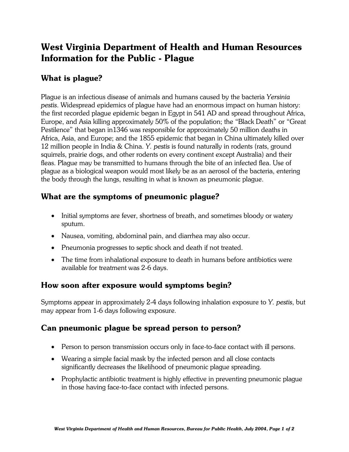# West Virginia Department of Health and Human Resources Information for the Public - Plague

# What is plague?

Plague is an infectious disease of animals and humans caused by the bacteria *Yersinia pestis*. Widespread epidemics of plague have had an enormous impact on human history: the first recorded plague epidemic began in Egypt in 541 AD and spread throughout Africa, Europe, and Asia killing approximately 50% of the population; the "Black Death" or "Great Pestilence" that began in1346 was responsible for approximately 50 million deaths in Africa, Asia, and Europe; and the 1855 epidemic that began in China ultimately killed over 12 million people in India & China. *Y. pestis* is found naturally in rodents (rats, ground squirrels, prairie dogs, and other rodents on every continent except Australia) and their fleas. Plague may be transmitted to humans through the bite of an infected flea. Use of plague as a biological weapon would most likely be as an aerosol of the bacteria, entering the body through the lungs, resulting in what is known as pneumonic plague.

## What are the symptoms of pneumonic plague?

- Initial symptoms are fever, shortness of breath, and sometimes bloody or watery sputum.
- Nausea, vomiting, abdominal pain, and diarrhea may also occur.
- Pneumonia progresses to septic shock and death if not treated.
- The time from inhalational exposure to death in humans before antibiotics were available for treatment was 2-6 days.

#### How soon after exposure would symptoms begin?

Symptoms appear in approximately 2-4 days following inhalation exposure to *Y. pestis*, but may appear from 1-6 days following exposure.

# Can pneumonic plague be spread person to person?

- Person to person transmission occurs only in face-to-face contact with ill persons.
- Wearing a simple facial mask by the infected person and all close contacts significantly decreases the likelihood of pneumonic plague spreading.
- Prophylactic antibiotic treatment is highly effective in preventing pneumonic plague in those having face-to-face contact with infected persons.